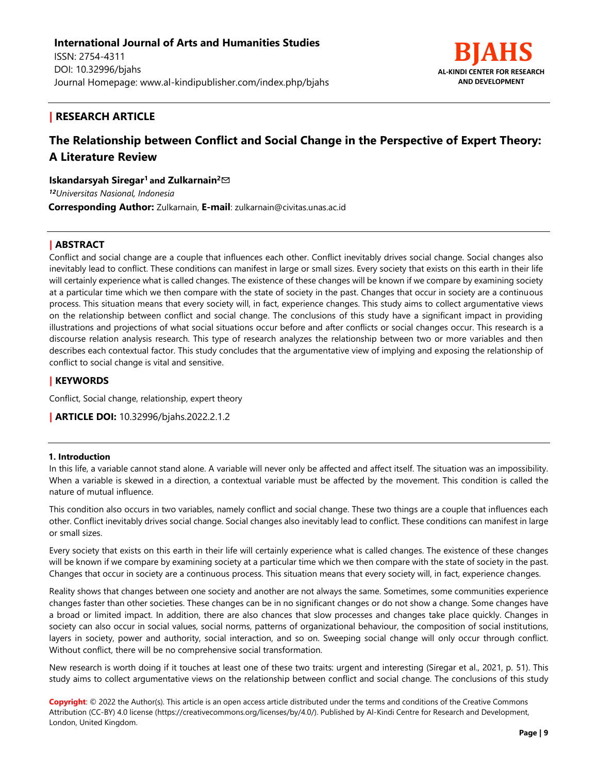

# **| RESEARCH ARTICLE**

# **The Relationship between Conflict and Social Change in the Perspective of Expert Theory: A Literature Review**

**Iskandarsyah Siregar<sup>1</sup>and Zulkarnain<sup>2</sup>**✉ *<sup>12</sup>Universitas Nasional, Indonesia* **Corresponding Author:** Zulkarnain, **E-mail**: zulkarnain@civitas.unas.ac.id

# **| ABSTRACT**

Conflict and social change are a couple that influences each other. Conflict inevitably drives social change. Social changes also inevitably lead to conflict. These conditions can manifest in large or small sizes. Every society that exists on this earth in their life will certainly experience what is called changes. The existence of these changes will be known if we compare by examining society at a particular time which we then compare with the state of society in the past. Changes that occur in society are a continuous process. This situation means that every society will, in fact, experience changes. This study aims to collect argumentative views on the relationship between conflict and social change. The conclusions of this study have a significant impact in providing illustrations and projections of what social situations occur before and after conflicts or social changes occur. This research is a discourse relation analysis research. This type of research analyzes the relationship between two or more variables and then describes each contextual factor. This study concludes that the argumentative view of implying and exposing the relationship of conflict to social change is vital and sensitive.

# **| KEYWORDS**

Conflict, Social change, relationship, expert theory

**| ARTICLE DOI:** 10.32996/bjahs.2022.2.1.2

#### **1. Introduction**

In this life, a variable cannot stand alone. A variable will never only be affected and affect itself. The situation was an impossibility. When a variable is skewed in a direction, a contextual variable must be affected by the movement. This condition is called the nature of mutual influence.

This condition also occurs in two variables, namely conflict and social change. These two things are a couple that influences each other. Conflict inevitably drives social change. Social changes also inevitably lead to conflict. These conditions can manifest in large or small sizes.

Every society that exists on this earth in their life will certainly experience what is called changes. The existence of these changes will be known if we compare by examining society at a particular time which we then compare with the state of society in the past. Changes that occur in society are a continuous process. This situation means that every society will, in fact, experience changes.

Reality shows that changes between one society and another are not always the same. Sometimes, some communities experience changes faster than other societies. These changes can be in no significant changes or do not show a change. Some changes have a broad or limited impact. In addition, there are also chances that slow processes and changes take place quickly. Changes in society can also occur in social values, social norms, patterns of organizational behaviour, the composition of social institutions, layers in society, power and authority, social interaction, and so on. Sweeping social change will only occur through conflict. Without conflict, there will be no comprehensive social transformation.

New research is worth doing if it touches at least one of these two traits: urgent and interesting (Siregar et al., 2021, p. 51). This study aims to collect argumentative views on the relationship between conflict and social change. The conclusions of this study

**Copyright**: © 2022 the Author(s). This article is an open access article distributed under the terms and conditions of the Creative Commons Attribution (CC-BY) 4.0 license (https://creativecommons.org/licenses/by/4.0/). Published by Al-Kindi Centre for Research and Development, London, United Kingdom.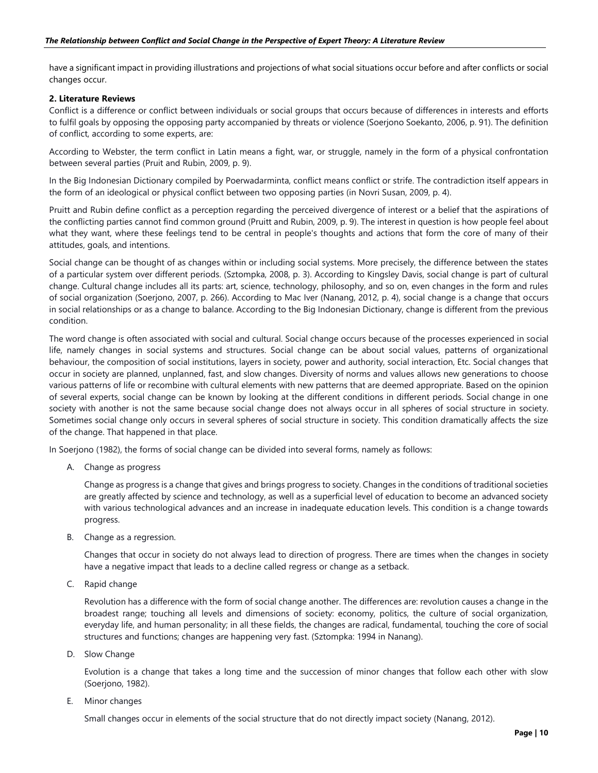have a significant impact in providing illustrations and projections of what social situations occur before and after conflicts or social changes occur.

#### **2. Literature Reviews**

Conflict is a difference or conflict between individuals or social groups that occurs because of differences in interests and efforts to fulfil goals by opposing the opposing party accompanied by threats or violence (Soerjono Soekanto, 2006, p. 91). The definition of conflict, according to some experts, are:

According to Webster, the term conflict in Latin means a fight, war, or struggle, namely in the form of a physical confrontation between several parties (Pruit and Rubin, 2009, p. 9).

In the Big Indonesian Dictionary compiled by Poerwadarminta, conflict means conflict or strife. The contradiction itself appears in the form of an ideological or physical conflict between two opposing parties (in Novri Susan, 2009, p. 4).

Pruitt and Rubin define conflict as a perception regarding the perceived divergence of interest or a belief that the aspirations of the conflicting parties cannot find common ground (Pruitt and Rubin, 2009, p. 9). The interest in question is how people feel about what they want, where these feelings tend to be central in people's thoughts and actions that form the core of many of their attitudes, goals, and intentions.

Social change can be thought of as changes within or including social systems. More precisely, the difference between the states of a particular system over different periods. (Sztompka, 2008, p. 3). According to Kingsley Davis, social change is part of cultural change. Cultural change includes all its parts: art, science, technology, philosophy, and so on, even changes in the form and rules of social organization (Soerjono, 2007, p. 266). According to Mac Iver (Nanang, 2012, p. 4), social change is a change that occurs in social relationships or as a change to balance. According to the Big Indonesian Dictionary, change is different from the previous condition.

The word change is often associated with social and cultural. Social change occurs because of the processes experienced in social life, namely changes in social systems and structures. Social change can be about social values, patterns of organizational behaviour, the composition of social institutions, layers in society, power and authority, social interaction, Etc. Social changes that occur in society are planned, unplanned, fast, and slow changes. Diversity of norms and values allows new generations to choose various patterns of life or recombine with cultural elements with new patterns that are deemed appropriate. Based on the opinion of several experts, social change can be known by looking at the different conditions in different periods. Social change in one society with another is not the same because social change does not always occur in all spheres of social structure in society. Sometimes social change only occurs in several spheres of social structure in society. This condition dramatically affects the size of the change. That happened in that place.

In Soerjono (1982), the forms of social change can be divided into several forms, namely as follows:

A. Change as progress

Change as progress is a change that gives and brings progress to society. Changes in the conditions of traditional societies are greatly affected by science and technology, as well as a superficial level of education to become an advanced society with various technological advances and an increase in inadequate education levels. This condition is a change towards progress.

B. Change as a regression.

Changes that occur in society do not always lead to direction of progress. There are times when the changes in society have a negative impact that leads to a decline called regress or change as a setback.

C. Rapid change

Revolution has a difference with the form of social change another. The differences are: revolution causes a change in the broadest range; touching all levels and dimensions of society: economy, politics, the culture of social organization, everyday life, and human personality; in all these fields, the changes are radical, fundamental, touching the core of social structures and functions; changes are happening very fast. (Sztompka: 1994 in Nanang).

D. Slow Change

Evolution is a change that takes a long time and the succession of minor changes that follow each other with slow (Soerjono, 1982).

E. Minor changes

Small changes occur in elements of the social structure that do not directly impact society (Nanang, 2012).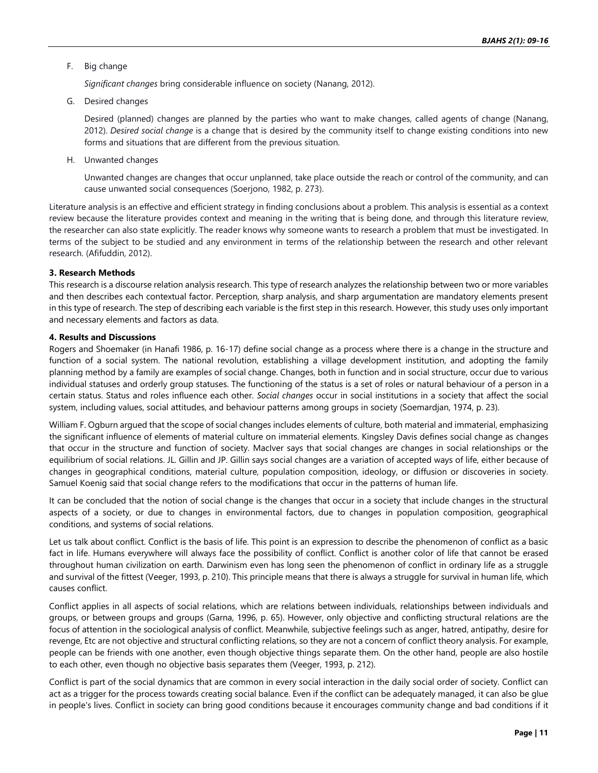#### F. Big change

*Significant changes* bring considerable influence on society (Nanang, 2012).

G. Desired changes

Desired (planned) changes are planned by the parties who want to make changes, called agents of change (Nanang, 2012). *Desired social change* is a change that is desired by the community itself to change existing conditions into new forms and situations that are different from the previous situation.

H. Unwanted changes

Unwanted changes are changes that occur unplanned, take place outside the reach or control of the community, and can cause unwanted social consequences (Soerjono, 1982, p. 273).

Literature analysis is an effective and efficient strategy in finding conclusions about a problem. This analysis is essential as a context review because the literature provides context and meaning in the writing that is being done, and through this literature review, the researcher can also state explicitly. The reader knows why someone wants to research a problem that must be investigated. In terms of the subject to be studied and any environment in terms of the relationship between the research and other relevant research. (Afifuddin, 2012).

#### **3. Research Methods**

This research is a discourse relation analysis research. This type of research analyzes the relationship between two or more variables and then describes each contextual factor. Perception, sharp analysis, and sharp argumentation are mandatory elements present in this type of research. The step of describing each variable is the first step in this research. However, this study uses only important and necessary elements and factors as data.

#### **4. Results and Discussions**

Rogers and Shoemaker (in Hanafi 1986, p. 16-17) define social change as a process where there is a change in the structure and function of a social system. The national revolution, establishing a village development institution, and adopting the family planning method by a family are examples of social change. Changes, both in function and in social structure, occur due to various individual statuses and orderly group statuses. The functioning of the status is a set of roles or natural behaviour of a person in a certain status. Status and roles influence each other. *Social changes* occur in social institutions in a society that affect the social system, including values, social attitudes, and behaviour patterns among groups in society (Soemardjan, 1974, p. 23).

William F. Ogburn argued that the scope of social changes includes elements of culture, both material and immaterial, emphasizing the significant influence of elements of material culture on immaterial elements. Kingsley Davis defines social change as changes that occur in the structure and function of society. MacIver says that social changes are changes in social relationships or the equilibrium of social relations. JL. Gillin and JP. Gillin says social changes are a variation of accepted ways of life, either because of changes in geographical conditions, material culture, population composition, ideology, or diffusion or discoveries in society. Samuel Koenig said that social change refers to the modifications that occur in the patterns of human life.

It can be concluded that the notion of social change is the changes that occur in a society that include changes in the structural aspects of a society, or due to changes in environmental factors, due to changes in population composition, geographical conditions, and systems of social relations.

Let us talk about conflict. Conflict is the basis of life. This point is an expression to describe the phenomenon of conflict as a basic fact in life. Humans everywhere will always face the possibility of conflict. Conflict is another color of life that cannot be erased throughout human civilization on earth. Darwinism even has long seen the phenomenon of conflict in ordinary life as a struggle and survival of the fittest (Veeger, 1993, p. 210). This principle means that there is always a struggle for survival in human life, which causes conflict.

Conflict applies in all aspects of social relations, which are relations between individuals, relationships between individuals and groups, or between groups and groups (Garna, 1996, p. 65). However, only objective and conflicting structural relations are the focus of attention in the sociological analysis of conflict. Meanwhile, subjective feelings such as anger, hatred, antipathy, desire for revenge, Etc are not objective and structural conflicting relations, so they are not a concern of conflict theory analysis. For example, people can be friends with one another, even though objective things separate them. On the other hand, people are also hostile to each other, even though no objective basis separates them (Veeger, 1993, p. 212).

Conflict is part of the social dynamics that are common in every social interaction in the daily social order of society. Conflict can act as a trigger for the process towards creating social balance. Even if the conflict can be adequately managed, it can also be glue in people's lives. Conflict in society can bring good conditions because it encourages community change and bad conditions if it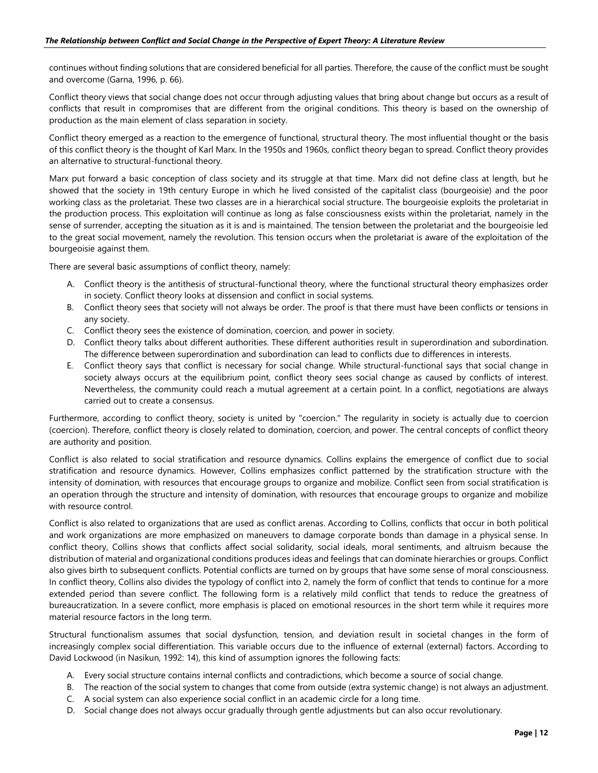continues without finding solutions that are considered beneficial for all parties. Therefore, the cause of the conflict must be sought and overcome (Garna, 1996, p. 66).

Conflict theory views that social change does not occur through adjusting values that bring about change but occurs as a result of conflicts that result in compromises that are different from the original conditions. This theory is based on the ownership of production as the main element of class separation in society.

Conflict theory emerged as a reaction to the emergence of functional, structural theory. The most influential thought or the basis of this conflict theory is the thought of Karl Marx. In the 1950s and 1960s, conflict theory began to spread. Conflict theory provides an alternative to structural-functional theory.

Marx put forward a basic conception of class society and its struggle at that time. Marx did not define class at length, but he showed that the society in 19th century Europe in which he lived consisted of the capitalist class (bourgeoisie) and the poor working class as the proletariat. These two classes are in a hierarchical social structure. The bourgeoisie exploits the proletariat in the production process. This exploitation will continue as long as false consciousness exists within the proletariat, namely in the sense of surrender, accepting the situation as it is and is maintained. The tension between the proletariat and the bourgeoisie led to the great social movement, namely the revolution. This tension occurs when the proletariat is aware of the exploitation of the bourgeoisie against them.

There are several basic assumptions of conflict theory, namely:

- A. Conflict theory is the antithesis of structural-functional theory, where the functional structural theory emphasizes order in society. Conflict theory looks at dissension and conflict in social systems.
- B. Conflict theory sees that society will not always be order. The proof is that there must have been conflicts or tensions in any society.
- C. Conflict theory sees the existence of domination, coercion, and power in society.
- D. Conflict theory talks about different authorities. These different authorities result in superordination and subordination. The difference between superordination and subordination can lead to conflicts due to differences in interests.
- E. Conflict theory says that conflict is necessary for social change. While structural-functional says that social change in society always occurs at the equilibrium point, conflict theory sees social change as caused by conflicts of interest. Nevertheless, the community could reach a mutual agreement at a certain point. In a conflict, negotiations are always carried out to create a consensus.

Furthermore, according to conflict theory, society is united by "coercion." The regularity in society is actually due to coercion (coercion). Therefore, conflict theory is closely related to domination, coercion, and power. The central concepts of conflict theory are authority and position.

Conflict is also related to social stratification and resource dynamics. Collins explains the emergence of conflict due to social stratification and resource dynamics. However, Collins emphasizes conflict patterned by the stratification structure with the intensity of domination, with resources that encourage groups to organize and mobilize. Conflict seen from social stratification is an operation through the structure and intensity of domination, with resources that encourage groups to organize and mobilize with resource control.

Conflict is also related to organizations that are used as conflict arenas. According to Collins, conflicts that occur in both political and work organizations are more emphasized on maneuvers to damage corporate bonds than damage in a physical sense. In conflict theory, Collins shows that conflicts affect social solidarity, social ideals, moral sentiments, and altruism because the distribution of material and organizational conditions produces ideas and feelings that can dominate hierarchies or groups. Conflict also gives birth to subsequent conflicts. Potential conflicts are turned on by groups that have some sense of moral consciousness. In conflict theory, Collins also divides the typology of conflict into 2, namely the form of conflict that tends to continue for a more extended period than severe conflict. The following form is a relatively mild conflict that tends to reduce the greatness of bureaucratization. In a severe conflict, more emphasis is placed on emotional resources in the short term while it requires more material resource factors in the long term.

Structural functionalism assumes that social dysfunction, tension, and deviation result in societal changes in the form of increasingly complex social differentiation. This variable occurs due to the influence of external (external) factors. According to David Lockwood (in Nasikun, 1992: 14), this kind of assumption ignores the following facts:

- A. Every social structure contains internal conflicts and contradictions, which become a source of social change.
- B. The reaction of the social system to changes that come from outside (extra systemic change) is not always an adjustment.
- C. A social system can also experience social conflict in an academic circle for a long time.
- D. Social change does not always occur gradually through gentle adjustments but can also occur revolutionary.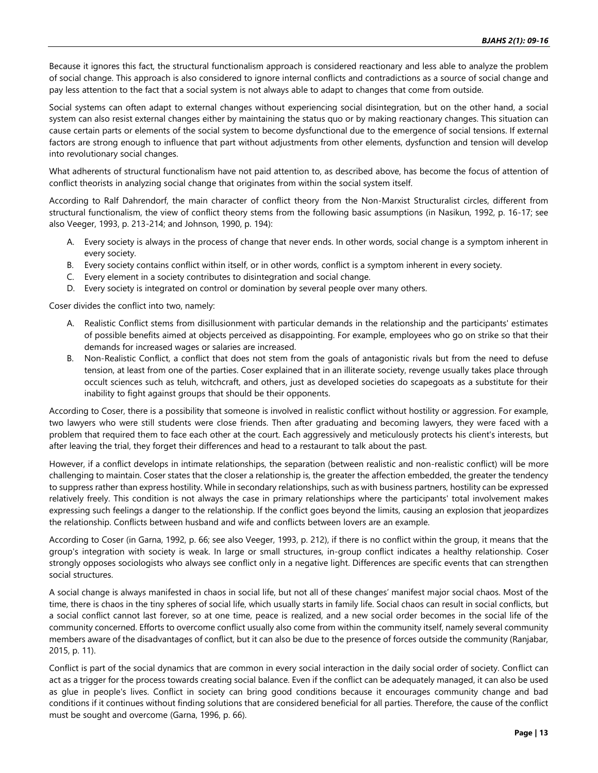Because it ignores this fact, the structural functionalism approach is considered reactionary and less able to analyze the problem of social change. This approach is also considered to ignore internal conflicts and contradictions as a source of social change and pay less attention to the fact that a social system is not always able to adapt to changes that come from outside.

Social systems can often adapt to external changes without experiencing social disintegration, but on the other hand, a social system can also resist external changes either by maintaining the status quo or by making reactionary changes. This situation can cause certain parts or elements of the social system to become dysfunctional due to the emergence of social tensions. If external factors are strong enough to influence that part without adjustments from other elements, dysfunction and tension will develop into revolutionary social changes.

What adherents of structural functionalism have not paid attention to, as described above, has become the focus of attention of conflict theorists in analyzing social change that originates from within the social system itself.

According to Ralf Dahrendorf, the main character of conflict theory from the Non-Marxist Structuralist circles, different from structural functionalism, the view of conflict theory stems from the following basic assumptions (in Nasikun, 1992, p. 16-17; see also Veeger, 1993, p. 213-214; and Johnson, 1990, p. 194):

- A. Every society is always in the process of change that never ends. In other words, social change is a symptom inherent in every society.
- B. Every society contains conflict within itself, or in other words, conflict is a symptom inherent in every society.
- C. Every element in a society contributes to disintegration and social change.
- D. Every society is integrated on control or domination by several people over many others.

Coser divides the conflict into two, namely:

- A. Realistic Conflict stems from disillusionment with particular demands in the relationship and the participants' estimates of possible benefits aimed at objects perceived as disappointing. For example, employees who go on strike so that their demands for increased wages or salaries are increased.
- B. Non-Realistic Conflict, a conflict that does not stem from the goals of antagonistic rivals but from the need to defuse tension, at least from one of the parties. Coser explained that in an illiterate society, revenge usually takes place through occult sciences such as teluh, witchcraft, and others, just as developed societies do scapegoats as a substitute for their inability to fight against groups that should be their opponents.

According to Coser, there is a possibility that someone is involved in realistic conflict without hostility or aggression. For example, two lawyers who were still students were close friends. Then after graduating and becoming lawyers, they were faced with a problem that required them to face each other at the court. Each aggressively and meticulously protects his client's interests, but after leaving the trial, they forget their differences and head to a restaurant to talk about the past.

However, if a conflict develops in intimate relationships, the separation (between realistic and non-realistic conflict) will be more challenging to maintain. Coser states that the closer a relationship is, the greater the affection embedded, the greater the tendency to suppress rather than express hostility. While in secondary relationships, such as with business partners, hostility can be expressed relatively freely. This condition is not always the case in primary relationships where the participants' total involvement makes expressing such feelings a danger to the relationship. If the conflict goes beyond the limits, causing an explosion that jeopardizes the relationship. Conflicts between husband and wife and conflicts between lovers are an example.

According to Coser (in Garna, 1992, p. 66; see also Veeger, 1993, p. 212), if there is no conflict within the group, it means that the group's integration with society is weak. In large or small structures, in-group conflict indicates a healthy relationship. Coser strongly opposes sociologists who always see conflict only in a negative light. Differences are specific events that can strengthen social structures.

A social change is always manifested in chaos in social life, but not all of these changes' manifest major social chaos. Most of the time, there is chaos in the tiny spheres of social life, which usually starts in family life. Social chaos can result in social conflicts, but a social conflict cannot last forever, so at one time, peace is realized, and a new social order becomes in the social life of the community concerned. Efforts to overcome conflict usually also come from within the community itself, namely several community members aware of the disadvantages of conflict, but it can also be due to the presence of forces outside the community (Ranjabar, 2015, p. 11).

Conflict is part of the social dynamics that are common in every social interaction in the daily social order of society. Conflict can act as a trigger for the process towards creating social balance. Even if the conflict can be adequately managed, it can also be used as glue in people's lives. Conflict in society can bring good conditions because it encourages community change and bad conditions if it continues without finding solutions that are considered beneficial for all parties. Therefore, the cause of the conflict must be sought and overcome (Garna, 1996, p. 66).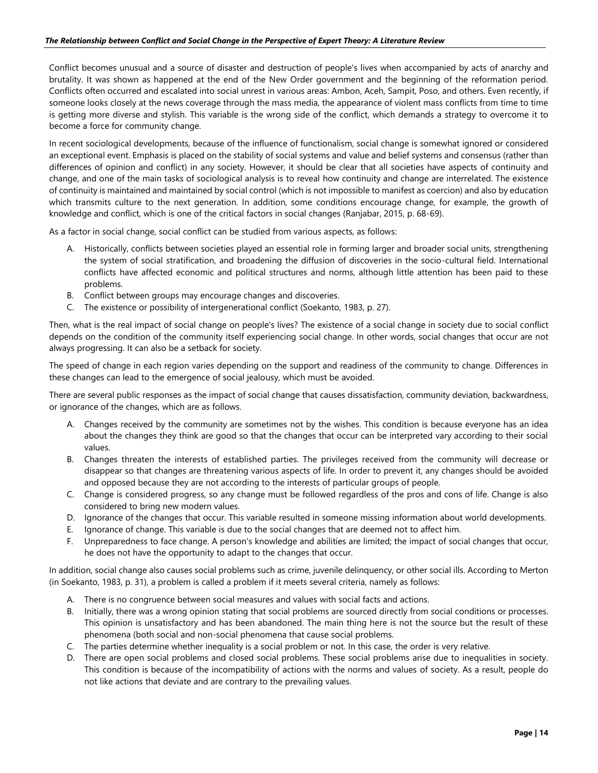#### *The Relationship between Conflict and Social Change in the Perspective of Expert Theory: A Literature Review*

Conflict becomes unusual and a source of disaster and destruction of people's lives when accompanied by acts of anarchy and brutality. It was shown as happened at the end of the New Order government and the beginning of the reformation period. Conflicts often occurred and escalated into social unrest in various areas: Ambon, Aceh, Sampit, Poso, and others. Even recently, if someone looks closely at the news coverage through the mass media, the appearance of violent mass conflicts from time to time is getting more diverse and stylish. This variable is the wrong side of the conflict, which demands a strategy to overcome it to become a force for community change.

In recent sociological developments, because of the influence of functionalism, social change is somewhat ignored or considered an exceptional event. Emphasis is placed on the stability of social systems and value and belief systems and consensus (rather than differences of opinion and conflict) in any society. However, it should be clear that all societies have aspects of continuity and change, and one of the main tasks of sociological analysis is to reveal how continuity and change are interrelated. The existence of continuity is maintained and maintained by social control (which is not impossible to manifest as coercion) and also by education which transmits culture to the next generation. In addition, some conditions encourage change, for example, the growth of knowledge and conflict, which is one of the critical factors in social changes (Ranjabar, 2015, p. 68-69).

As a factor in social change, social conflict can be studied from various aspects, as follows:

- A. Historically, conflicts between societies played an essential role in forming larger and broader social units, strengthening the system of social stratification, and broadening the diffusion of discoveries in the socio-cultural field. International conflicts have affected economic and political structures and norms, although little attention has been paid to these problems.
- B. Conflict between groups may encourage changes and discoveries.
- C. The existence or possibility of intergenerational conflict (Soekanto, 1983, p. 27).

Then, what is the real impact of social change on people's lives? The existence of a social change in society due to social conflict depends on the condition of the community itself experiencing social change. In other words, social changes that occur are not always progressing. It can also be a setback for society.

The speed of change in each region varies depending on the support and readiness of the community to change. Differences in these changes can lead to the emergence of social jealousy, which must be avoided.

There are several public responses as the impact of social change that causes dissatisfaction, community deviation, backwardness, or ignorance of the changes, which are as follows.

- A. Changes received by the community are sometimes not by the wishes. This condition is because everyone has an idea about the changes they think are good so that the changes that occur can be interpreted vary according to their social values.
- B. Changes threaten the interests of established parties. The privileges received from the community will decrease or disappear so that changes are threatening various aspects of life. In order to prevent it, any changes should be avoided and opposed because they are not according to the interests of particular groups of people.
- C. Change is considered progress, so any change must be followed regardless of the pros and cons of life. Change is also considered to bring new modern values.
- D. Ignorance of the changes that occur. This variable resulted in someone missing information about world developments.
- E. Ignorance of change. This variable is due to the social changes that are deemed not to affect him.
- F. Unpreparedness to face change. A person's knowledge and abilities are limited; the impact of social changes that occur, he does not have the opportunity to adapt to the changes that occur.

In addition, social change also causes social problems such as crime, juvenile delinquency, or other social ills. According to Merton (in Soekanto, 1983, p. 31), a problem is called a problem if it meets several criteria, namely as follows:

- A. There is no congruence between social measures and values with social facts and actions.
- B. Initially, there was a wrong opinion stating that social problems are sourced directly from social conditions or processes. This opinion is unsatisfactory and has been abandoned. The main thing here is not the source but the result of these phenomena (both social and non-social phenomena that cause social problems.
- C. The parties determine whether inequality is a social problem or not. In this case, the order is very relative.
- D. There are open social problems and closed social problems. These social problems arise due to inequalities in society. This condition is because of the incompatibility of actions with the norms and values of society. As a result, people do not like actions that deviate and are contrary to the prevailing values.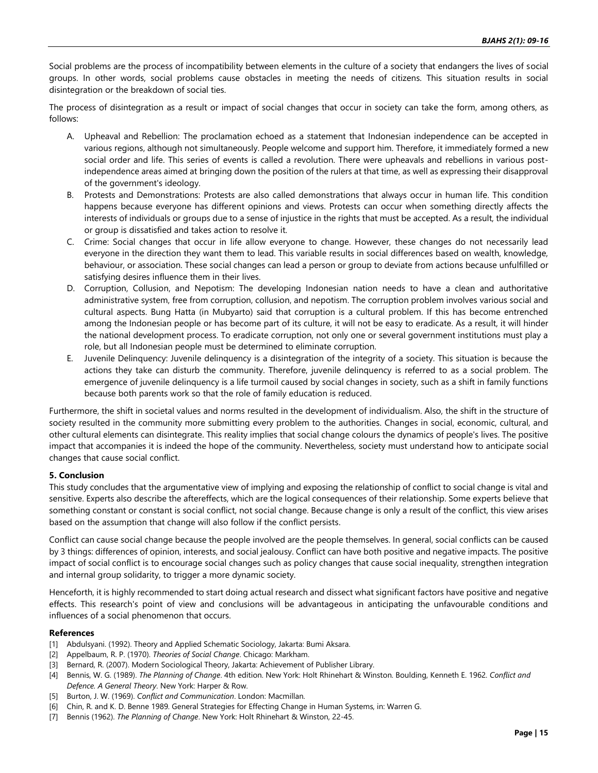Social problems are the process of incompatibility between elements in the culture of a society that endangers the lives of social groups. In other words, social problems cause obstacles in meeting the needs of citizens. This situation results in social disintegration or the breakdown of social ties.

The process of disintegration as a result or impact of social changes that occur in society can take the form, among others, as follows:

- A. Upheaval and Rebellion: The proclamation echoed as a statement that Indonesian independence can be accepted in various regions, although not simultaneously. People welcome and support him. Therefore, it immediately formed a new social order and life. This series of events is called a revolution. There were upheavals and rebellions in various postindependence areas aimed at bringing down the position of the rulers at that time, as well as expressing their disapproval of the government's ideology.
- B. Protests and Demonstrations: Protests are also called demonstrations that always occur in human life. This condition happens because everyone has different opinions and views. Protests can occur when something directly affects the interests of individuals or groups due to a sense of injustice in the rights that must be accepted. As a result, the individual or group is dissatisfied and takes action to resolve it.
- C. Crime: Social changes that occur in life allow everyone to change. However, these changes do not necessarily lead everyone in the direction they want them to lead. This variable results in social differences based on wealth, knowledge, behaviour, or association. These social changes can lead a person or group to deviate from actions because unfulfilled or satisfying desires influence them in their lives.
- D. Corruption, Collusion, and Nepotism: The developing Indonesian nation needs to have a clean and authoritative administrative system, free from corruption, collusion, and nepotism. The corruption problem involves various social and cultural aspects. Bung Hatta (in Mubyarto) said that corruption is a cultural problem. If this has become entrenched among the Indonesian people or has become part of its culture, it will not be easy to eradicate. As a result, it will hinder the national development process. To eradicate corruption, not only one or several government institutions must play a role, but all Indonesian people must be determined to eliminate corruption.
- E. Juvenile Delinquency: Juvenile delinquency is a disintegration of the integrity of a society. This situation is because the actions they take can disturb the community. Therefore, juvenile delinquency is referred to as a social problem. The emergence of juvenile delinquency is a life turmoil caused by social changes in society, such as a shift in family functions because both parents work so that the role of family education is reduced.

Furthermore, the shift in societal values and norms resulted in the development of individualism. Also, the shift in the structure of society resulted in the community more submitting every problem to the authorities. Changes in social, economic, cultural, and other cultural elements can disintegrate. This reality implies that social change colours the dynamics of people's lives. The positive impact that accompanies it is indeed the hope of the community. Nevertheless, society must understand how to anticipate social changes that cause social conflict.

## **5. Conclusion**

This study concludes that the argumentative view of implying and exposing the relationship of conflict to social change is vital and sensitive. Experts also describe the aftereffects, which are the logical consequences of their relationship. Some experts believe that something constant or constant is social conflict, not social change. Because change is only a result of the conflict, this view arises based on the assumption that change will also follow if the conflict persists.

Conflict can cause social change because the people involved are the people themselves. In general, social conflicts can be caused by 3 things: differences of opinion, interests, and social jealousy. Conflict can have both positive and negative impacts. The positive impact of social conflict is to encourage social changes such as policy changes that cause social inequality, strengthen integration and internal group solidarity, to trigger a more dynamic society.

Henceforth, it is highly recommended to start doing actual research and dissect what significant factors have positive and negative effects. This research's point of view and conclusions will be advantageous in anticipating the unfavourable conditions and influences of a social phenomenon that occurs.

## **References**

- [1] Abdulsyani. (1992). Theory and Applied Schematic Sociology, Jakarta: Bumi Aksara.
- [2] Appelbaum, R. P. (1970). *Theories of Social Change*. Chicago: Markham.
- [3] Bernard, R. (2007). Modern Sociological Theory, Jakarta: Achievement of Publisher Library.
- [4] Bennis, W. G. (1989). *The Planning of Change*. 4th edition. New York: Holt Rhinehart & Winston. Boulding, Kenneth E. 1962. *Conflict and Defence. A General Theory*. New York: Harper & Row.
- [5] Burton, J. W. (1969). *Conflict and Communication*. London: Macmillan.
- [6] Chin, R. and K. D. Benne 1989. General Strategies for Effecting Change in Human Systems, in: Warren G.
- [7] Bennis (1962). *The Planning of Change*. New York: Holt Rhinehart & Winston, 22-45.